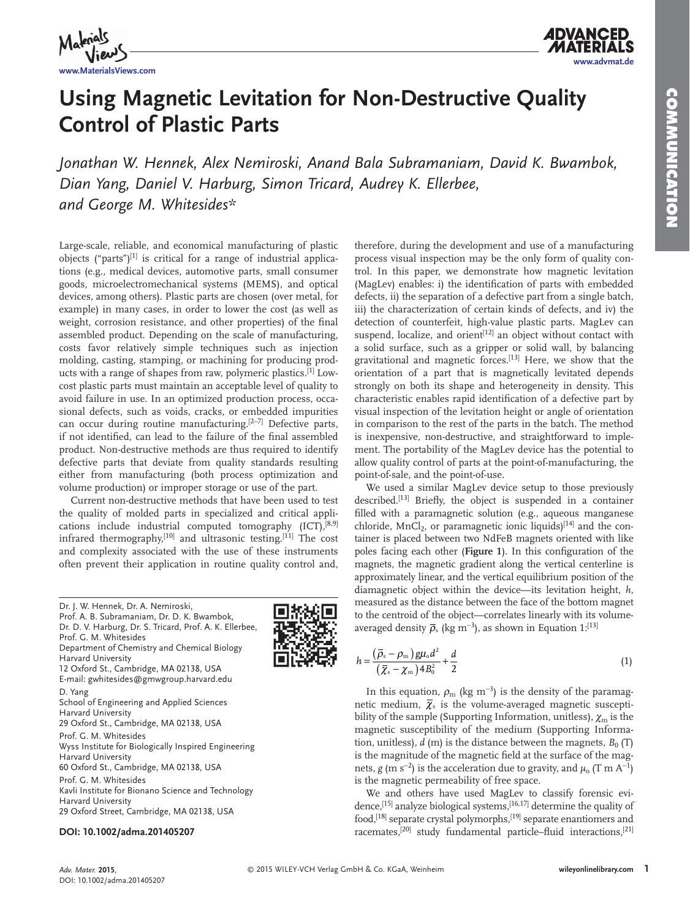

# **Using Magnetic Levitation for Non-Destructive Quality Control of Plastic Parts**

 *Jonathan W. Hennek , Alex Nemiroski , Anand Bala Subramaniam , David K. Bwambok ,*  Dian Yang, Daniel V. Harburg, Simon Tricard, Audrey K. Ellerbee, *and George M. Whitesides\** 

 Large-scale, reliable, and economical manufacturing of plastic objects ("parts") $[1]$  is critical for a range of industrial applications (e.g., medical devices, automotive parts, small consumer goods, microelectromechanical systems (MEMS), and optical devices, among others). Plastic parts are chosen (over metal, for example) in many cases, in order to lower the cost (as well as weight, corrosion resistance, and other properties) of the final assembled product. Depending on the scale of manufacturing, costs favor relatively simple techniques such as injection molding, casting, stamping, or machining for producing products with a range of shapes from raw, polymeric plastics.<sup>[1]</sup> Lowcost plastic parts must maintain an acceptable level of quality to avoid failure in use. In an optimized production process, occasional defects, such as voids, cracks, or embedded impurities can occur during routine manufacturing.  $[2-7]$  Defective parts, if not identified, can lead to the failure of the final assembled product. Non-destructive methods are thus required to identify defective parts that deviate from quality standards resulting either from manufacturing (both process optimization and volume production) or improper storage or use of the part.

 Current non-destructive methods that have been used to test the quality of molded parts in specialized and critical applications include industrial computed tomography  $[ICT], [8,9]$ infrared thermography, $[10]$  and ultrasonic testing. $[11]$  The cost and complexity associated with the use of these instruments often prevent their application in routine quality control and,

 Dr. J. W. Hennek, Dr. A. Nemiroski, Prof. A. B. Subramaniam, Dr. D. K. Bwambok, Dr. D. V. Harburg, Dr. S. Tricard, Prof. A. K. Ellerbee, Prof. G. M. Whitesides Department of Chemistry and Chemical Biology Harvard University 12 Oxford St., Cambridge, MA 02138, USA E-mail: gwhitesides@gmwgroup.harvard.edu D. Yang School of Engineering and Applied Sciences Harvard University 29 Oxford St., Cambridge, MA 02138, USA Prof. G. M. Whitesides Wyss Institute for Biologically Inspired Engineering Harvard University 60 Oxford St., Cambridge, MA 02138, USA Prof. G. M. Whitesides Kavli Institute for Bionano Science and Technology Harvard University 29 Oxford Street, Cambridge, MA 02138, USA

## **DOI: 10.1002/adma.201405207**

therefore, during the development and use of a manufacturing process visual inspection may be the only form of quality control. In this paper, we demonstrate how magnetic levitation (MagLev) enables: i) the identification of parts with embedded defects, ii) the separation of a defective part from a single batch, iii) the characterization of certain kinds of defects, and iv) the detection of counterfeit, high-value plastic parts. MagLev can suspend, localize, and orient<sup>[12]</sup> an object without contact with a solid surface, such as a gripper or solid wall, by balancing gravitational and magnetic forces.<sup>[13]</sup> Here, we show that the orientation of a part that is magnetically levitated depends strongly on both its shape and heterogeneity in density. This characteristic enables rapid identification of a defective part by visual inspection of the levitation height or angle of orientation in comparison to the rest of the parts in the batch. The method is inexpensive, non-destructive, and straightforward to implement. The portability of the MagLev device has the potential to allow quality control of parts at the point-of-manufacturing, the point-of-sale, and the point-of-use.

 We used a similar MagLev device setup to those previously described.<sup>[13]</sup> Briefly, the object is suspended in a container filled with a paramagnetic solution (e.g., aqueous manganese chloride, MnCl<sub>2</sub>, or paramagnetic ionic liquids)<sup>[14]</sup> and the container is placed between two NdFeB magnets oriented with like poles facing each other (Figure 1). In this configuration of the magnets, the magnetic gradient along the vertical centerline is approximately linear, and the vertical equilibrium position of the diamagnetic object within the device—its levitation height, *h*, measured as the distance between the face of the bottom magnet to the centroid of the object—correlates linearly with its volumeaveraged density  $\bar{\rho}_s$  (kg m<sup>-3</sup>), as shown in Equation 1:<sup>[13]</sup>

$$
h = \frac{(\overline{\rho}_s - \rho_m) g \mu_o d^2}{(\overline{\chi}_s - \chi_m) 4B_0^2} + \frac{d}{2}
$$
\n(1)

In this equation,  $\rho_m$  (kg m<sup>-3</sup>) is the density of the paramagnetic medium,  $\bar{\chi}_s$  is the volume-averaged magnetic susceptibility of the sample (Supporting Information, unitless),  $\chi_{\text{m}}$  is the magnetic susceptibility of the medium (Supporting Information, unitless),  $d$  (m) is the distance between the magnets,  $B_0$  (T) is the magnitude of the magnetic field at the surface of the magnets, *g* (m s<sup>-2</sup>) is the acceleration due to gravity, and  $\mu_o$  (T m A<sup>-1</sup>) is the magnetic permeability of free space.

 We and others have used MagLev to classify forensic evidence,  $[15]$  analyze biological systems,  $[16, 17]$  determine the quality of food, [18] separate crystal polymorphs, [19] separate enantiomers and racemates,  $[20]$  study fundamental particle–fluid interactions,  $[21]$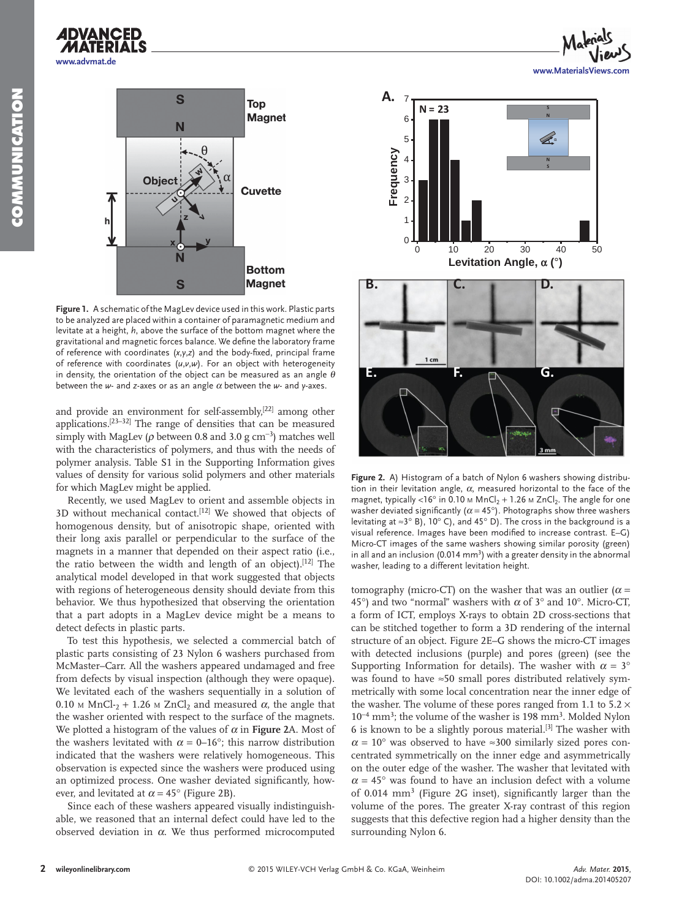



**Figure 1.** A schematic of the MagLev device used in this work. Plastic parts to be analyzed are placed within a container of paramagnetic medium and levitate at a height, *h*, above the surface of the bottom magnet where the gravitational and magnetic forces balance. We define the laboratory frame of reference with coordinates  $(x, y, z)$  and the body-fixed, principal frame of reference with coordinates (*u*, *v*, *w*). For an object with heterogeneity in density, the orientation of the object can be measured as an angle  $\theta$ between the  $w$ - and *z*-axes or as an angle  $\alpha$  between the  $w$ - and  $y$ -axes.

and provide an environment for self-assembly,  $[22]$  among other applications.  $[23-32]$  The range of densities that can be measured simply with MagLev ( $\rho$  between 0.8 and 3.0 g cm<sup>-3</sup>) matches well with the characteristics of polymers, and thus with the needs of polymer analysis. Table S1 in the Supporting Information gives values of density for various solid polymers and other materials for which MagLev might be applied.

 Recently, we used MagLev to orient and assemble objects in 3D without mechanical contact.<sup>[12]</sup> We showed that objects of homogenous density, but of anisotropic shape, oriented with their long axis parallel or perpendicular to the surface of the magnets in a manner that depended on their aspect ratio (i.e., the ratio between the width and length of an object).<sup>[12]</sup> The analytical model developed in that work suggested that objects with regions of heterogeneous density should deviate from this behavior. We thus hypothesized that observing the orientation that a part adopts in a MagLev device might be a means to detect defects in plastic parts.

 To test this hypothesis, we selected a commercial batch of plastic parts consisting of 23 Nylon 6 washers purchased from McMaster–Carr. All the washers appeared undamaged and free from defects by visual inspection (although they were opaque). We levitated each of the washers sequentially in a solution of 0.10 M MnCl- $_2$  + 1.26 M ZnCl<sub>2</sub> and measured  $\alpha$ , the angle that the washer oriented with respect to the surface of the magnets. We plotted a histogram of the values of  $\alpha$  in **Figure 2**A. Most of the washers levitated with  $\alpha = 0$ –16°; this narrow distribution indicated that the washers were relatively homogeneous. This observation is expected since the washers were produced using an optimized process. One washer deviated significantly, however, and levitated at  $\alpha = 45^{\circ}$  (Figure 2B).

 Since each of these washers appeared visually indistinguishable, we reasoned that an internal defect could have led to the observed deviation in  $\alpha$ . We thus performed microcomputed



**Figure 2.** A) Histogram of a batch of Nylon 6 washers showing distribution in their levitation angle,  $\alpha$ , measured horizontal to the face of the magnet, typically <16° in 0.10  $\mu$  MnCl<sub>2</sub> + 1.26  $\mu$  ZnCl<sub>2</sub>. The angle for one washer deviated significantly ( $\alpha$  = 45°). Photographs show three washers levitating at ≈3° B), 10° C), and 45° D). The cross in the background is a visual reference. Images have been modified to increase contrast. E–G) Micro-CT images of the same washers showing similar porosity (green) in all and an inclusion (0.014  $mm<sup>3</sup>$ ) with a greater density in the abnormal washer, leading to a different levitation height.

tomography (micro-CT) on the washer that was an outlier ( $\alpha$  = 45°) and two "normal" washers with  $\alpha$  of 3° and 10°. Micro-CT, a form of ICT, employs X-rays to obtain 2D cross-sections that can be stitched together to form a 3D rendering of the internal structure of an object. Figure 2E–G shows the micro-CT images with detected inclusions (purple) and pores (green) (see the Supporting Information for details). The washer with  $\alpha = 3^{\circ}$ was found to have ≈50 small pores distributed relatively symmetrically with some local concentration near the inner edge of the washer. The volume of these pores ranged from 1.1 to  $5.2 \times$ 10<sup>-4</sup> mm<sup>3</sup>; the volume of the washer is 198 mm<sup>3</sup>. Molded Nylon 6 is known to be a slightly porous material.<sup>[3]</sup> The washer with  $\alpha = 10^{\circ}$  was observed to have ≈300 similarly sized pores concentrated symmetrically on the inner edge and asymmetrically on the outer edge of the washer. The washer that levitated with  $\alpha$  = 45° was found to have an inclusion defect with a volume of 0.014 mm<sup>3</sup> (Figure 2G inset), significantly larger than the volume of the pores. The greater X-ray contrast of this region suggests that this defective region had a higher density than the surrounding Nylon 6.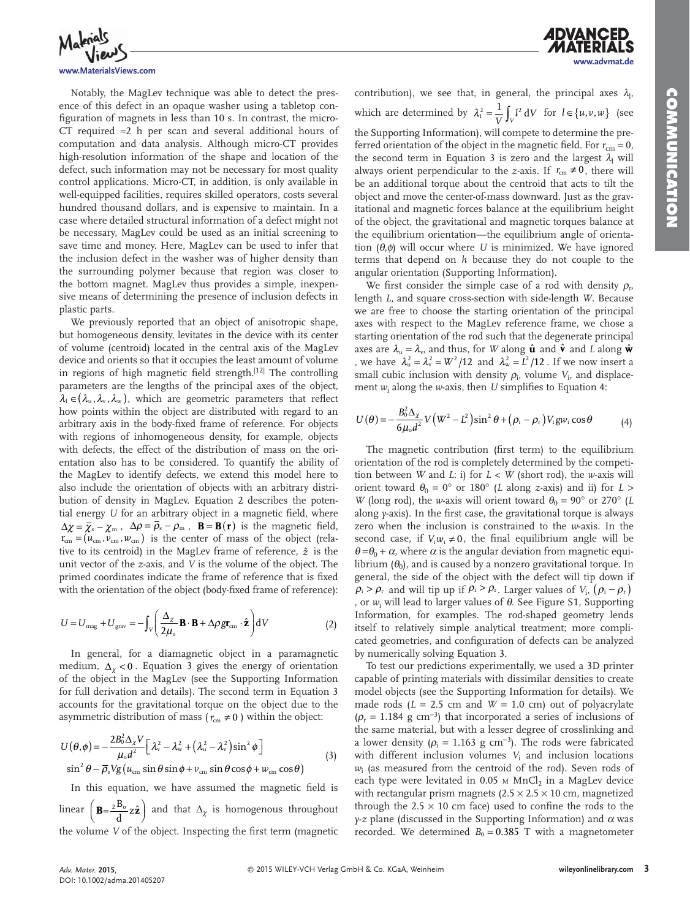*A***dvanced** 



#### **www.MaterialsViews.com**

 Notably, the MagLev technique was able to detect the presence of this defect in an opaque washer using a tabletop configuration of magnets in less than 10 s. In contrast, the micro-CT required ≈2 h per scan and several additional hours of computation and data analysis. Although micro-CT provides high-resolution information of the shape and location of the defect, such information may not be necessary for most quality control applications. Micro-CT, in addition, is only available in well-equipped facilities, requires skilled operators, costs several hundred thousand dollars, and is expensive to maintain. In a case where detailed structural information of a defect might not be necessary, MagLev could be used as an initial screening to save time and money. Here, MagLev can be used to infer that the inclusion defect in the washer was of higher density than the surrounding polymer because that region was closer to the bottom magnet. MagLev thus provides a simple, inexpensive means of determining the presence of inclusion defects in plastic parts.

 We previously reported that an object of anisotropic shape, but homogeneous density, levitates in the device with its center of volume (centroid) located in the central axis of the MagLev device and orients so that it occupies the least amount of volume in regions of high magnetic field strength.<sup>[12]</sup> The controlling parameters are the lengths of the principal axes of the object,  $\lambda_1 \in (\lambda_{\rm u}, \lambda_{\rm v}, \lambda_{\rm w})$ , which are geometric parameters that reflect how points within the object are distributed with regard to an arbitrary axis in the body-fixed frame of reference. For objects with regions of inhomogeneous density, for example, objects with defects, the effect of the distribution of mass on the orientation also has to be considered. To quantify the ability of the MagLev to identify defects, we extend this model here to also include the orientation of objects with an arbitrary distribution of density in MagLev. Equation 2 describes the potential energy *U* for an arbitrary object in a magnetic field, where  $\Delta \chi = \overline{\chi}_{\rm s} - \chi_{\rm m}$ ,  $\Delta \rho = \overline{\rho}_{\rm s} - \rho_{\rm m}$ ,  $\mathbf{B} = \mathbf{B}(\mathbf{r})$  is the magnetic field,  $r_{cm} = (u_{cm}, v_{cm}, w_{cm})$  is the center of mass of the object (relative to its centroid) in the MagLev frame of reference,  $\hat{z}$  is the unit vector of the *z*-axis, and *V* is the volume of the object. The primed coordinates indicate the frame of reference that is fixed with the orientation of the object (body-fixed frame of reference):

$$
U = U_{\text{mag}} + U_{\text{grav}} = -\int_{V} \left( \frac{\Delta_{\chi}}{2\mu_{\text{o}}} \mathbf{B} \cdot \mathbf{B} + \Delta \rho g \mathbf{r}_{\text{cm}} \cdot \hat{\mathbf{z}} \right) dV
$$
 (2)

In general, for a diamagnetic object in a paramagnetic medium,  $\Delta_{\gamma}$  < 0. Equation 3 gives the energy of orientation of the object in the MagLev (see the Supporting Information for full derivation and details). The second term in Equation 3 accounts for the gravitational torque on the object due to the asymmetric distribution of mass ( $r_{cm} \neq 0$ ) within the object:

$$
U(\theta,\phi) = -\frac{2B_0^2 \Delta_{\chi} V}{\mu_0 d^2} \left[ \lambda_v^2 - \lambda_w^2 + (\lambda_u^2 - \lambda_v^2) \sin^2 \phi \right]
$$
  

$$
\sin^2 \theta - \overline{\rho}_s V g(\mu_{\rm cm} \sin \theta \sin \phi + \nu_{\rm cm} \sin \theta \cos \phi + \nu_{\rm cm} \cos \theta)
$$
 (3)

In this equation, we have assumed the magnetic field is linear  $\left(\mathbf{B} = \frac{2\mathbf{B}_0}{d} \mathbf{z} \hat{\mathbf{z}}\right)$  and that  $\Delta_{\chi}$  is homogenous throughout the volume *V* of the object. Inspecting the first term (magnetic

contribution), we see that, in general, the principal axes  $\lambda_1$ , which are determined by  $\lambda_1^2 = \frac{1}{V} \int_V l^2 dV$  for  $l \in \{u, v, w\}$  (see the Supporting Information), will compete to determine the pre-

ferred orientation of the object in the magnetic field. For  $r_{cm} = 0$ , the second term in Equation 3 is zero and the largest  $\lambda$ <sub>l</sub> will always orient perpendicular to the *z*-axis. If  $r_{cm} \neq 0$ , there will be an additional torque about the centroid that acts to tilt the object and move the center-of-mass downward. Just as the gravitational and magnetic forces balance at the equilibrium height of the object, the gravitational and magnetic torques balance at the equilibrium orientation—the equilibrium angle of orientation  $(\theta, \phi)$  will occur where *U* is minimized. We have ignored terms that depend on *h* because they do not couple to the angular orientation (Supporting Information).

We first consider the simple case of a rod with density  $\rho_r$ length *L*, and square cross-section with side-length *W*. Because we are free to choose the starting orientation of the principal axes with respect to the MagLev reference frame, we chose a starting orientation of the rod such that the degenerate principal axes are  $\lambda_{\nu} = \lambda_{\nu}$ , and thus, for *W* along  $\hat{\mathbf{u}}$  and  $\hat{\mathbf{v}}$  and *L* along  $\hat{\mathbf{w}}$ , we have  $\lambda_{u}^{2} = \lambda_{v}^{2} = W^{2}/12$  and  $\lambda_{w}^{2} = L^{2}/12$ . If we now insert a small cubic inclusion with density  $\rho_i$ , volume  $V_i$ , and displacement  $w_i$  along the *w*-axis, then *U* simplifies to Equation 4:

$$
U(\theta) = -\frac{B_0^2 \Delta_{\chi}}{6\mu_0 d^2} V(W^2 - L^2) \sin^2 \theta + (\rho_i - \rho_r) V_i g w_i \cos \theta
$$
 (4)

The magnetic contribution (first term) to the equilibrium orientation of the rod is completely determined by the competition between *W* and *L*: i) for  $L < W$  (short rod), the *w*-axis will orient toward  $\theta_0 = 0^\circ$  or 180° (*L* along *z*-axis) and ii) for *L* > *W* (long rod), the *w*-axis will orient toward  $\theta_0 = 90^\circ$  or 270° (*L*) along *y*-axis). In the first case, the gravitational torque is always zero when the inclusion is constrained to the *w*-axis. In the second case, if  $V_i w_i \neq 0$ , the final equilibrium angle will be  $\theta = \theta_0 + \alpha$ , where  $\alpha$  is the angular deviation from magnetic equilibrium  $(\theta_0)$ , and is caused by a nonzero gravitational torque. In general, the side of the object with the defect will tip down if  $\rho_i > \rho_r$  and will tip up if  $\rho_i > \rho_r$ . Larger values of *V*<sub>i</sub>,  $(\rho_i - \rho_r)$ , or *w*<sub>i</sub> will lead to larger values of θ. See Figure S1, Supporting Information, for examples. The rod-shaped geometry lends itself to relatively simple analytical treatment; more complicated geometries, and configuration of defects can be analyzed by numerically solving Equation 3.

 To test our predictions experimentally, we used a 3D printer capable of printing materials with dissimilar densities to create model objects (see the Supporting Information for details). We made rods  $(L = 2.5 \text{ cm and } W = 1.0 \text{ cm})$  out of polyacrylate  $(\rho_{r} = 1.184 \text{ g cm}^{-3})$  that incorporated a series of inclusions of the same material, but with a lesser degree of crosslinking and a lower density ( $\rho_i = 1.163$  g cm<sup>-3</sup>). The rods were fabricated with different inclusion volumes  $V_i$  and inclusion locations *w*i (as measured from the centroid of the rod). Seven rods of each type were levitated in  $0.05$  M MnCl<sub>2</sub> in a MagLev device with rectangular prism magnets  $(2.5 \times 2.5 \times 10$  cm, magnetized through the 2.5  $\times$  10 cm face) used to confine the rods to the *y*-z plane (discussed in the Supporting Information) and  $\alpha$  was recorded. We determined  $B_0 = 0.385$  T with a magnetometer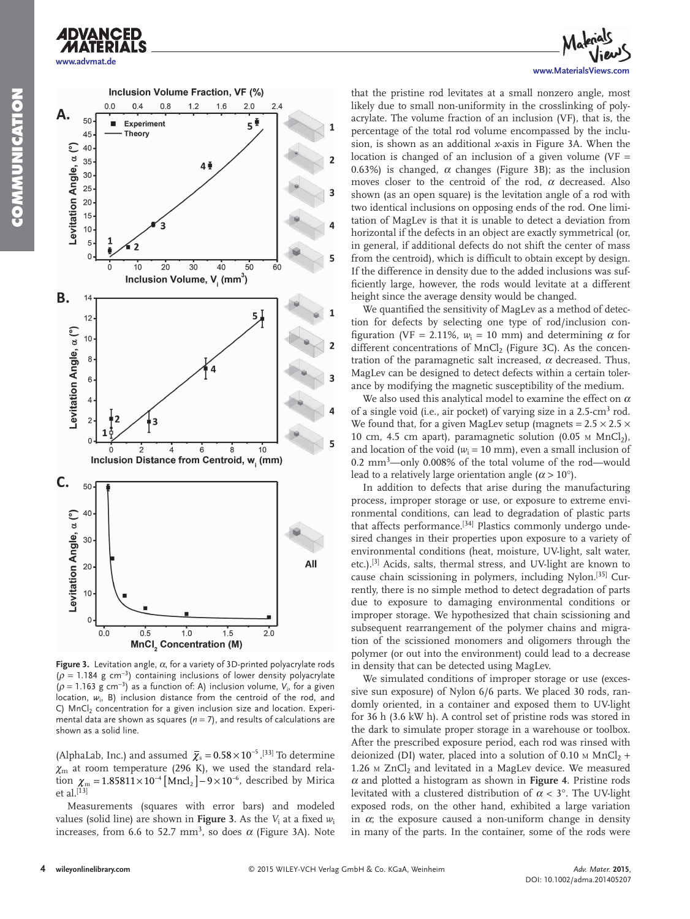

**ADVANCED** 



**Figure 3.** Levitation angle, α, for a variety of 3D-printed polyacrylate rods  $(\rho = 1.184 \text{ g cm}^{-3})$  containing inclusions of lower density polyacrylate  $(p = 1.163 \text{ g cm}^{-3})$  as a function of: A) inclusion volume,  $V_i$ , for a given location,  $w_i$ , B) inclusion distance from the centroid of the rod, and C)  $MnCl<sub>2</sub>$  concentration for a given inclusion size and location. Experimental data are shown as squares ( $n = 7$ ), and results of calculations are shown as a solid line.

 $1.0$ 

MnCl<sub>,</sub> Concentration (M)

 $1\overline{5}$ 

 $20$ 

(AlphaLab, Inc.) and assumed  $\overline{\chi}_s = 0.58 \times 10^{-5}$ .<sup>[33]</sup> To determine  $\chi$ <sub>m</sub> at room temperature (296 K), we used the standard relation  $\chi_{\rm m} = 1.85811 \times 10^{-4} \, [\text{Mncl}_2] - 9 \times 10^{-6}$ , described by Mirica et al. $^{\left[13\right]}$ 

 Measurements (squares with error bars) and modeled values (solid line) are shown in **Figure 3.** As the  $V_\text{i}$  at a fixed  $w_\text{i}$ increases, from 6.6 to 52.7 mm<sup>3</sup>, so does  $\alpha$  (Figure 3A). Note



that the pristine rod levitates at a small nonzero angle, most likely due to small non-uniformity in the crosslinking of polyacrylate. The volume fraction of an inclusion (VF), that is, the percentage of the total rod volume encompassed by the inclusion, is shown as an additional *x*-axis in Figure 3A. When the location is changed of an inclusion of a given volume ( $VF =$ 0.63%) is changed,  $\alpha$  changes (Figure 3B); as the inclusion moves closer to the centroid of the rod,  $\alpha$  decreased. Also shown (as an open square) is the levitation angle of a rod with two identical inclusions on opposing ends of the rod. One limitation of MagLev is that it is unable to detect a deviation from horizontal if the defects in an object are exactly symmetrical (or, in general, if additional defects do not shift the center of mass from the centroid), which is difficult to obtain except by design. If the difference in density due to the added inclusions was sufficiently large, however, the rods would levitate at a different height since the average density would be changed.

We quantified the sensitivity of MagLev as a method of detection for defects by selecting one type of rod/inclusion configuration (VF = 2.11%,  $w_i = 10$  mm) and determining  $\alpha$  for different concentrations of MnCl<sub>2</sub> (Figure 3C). As the concentration of the paramagnetic salt increased,  $\alpha$  decreased. Thus, MagLev can be designed to detect defects within a certain tolerance by modifying the magnetic susceptibility of the medium.

We also used this analytical model to examine the effect on  $\alpha$ of a single void (i.e., air pocket) of varying size in a 2.5-cm<sup>3</sup> rod. We found that, for a given MagLev setup (magnets =  $2.5 \times 2.5 \times$ 10 cm, 4.5 cm apart), paramagnetic solution (0.05  $\text{M}$  MnCl<sub>2</sub>), and location of the void  $(w_i = 10 \text{ mm})$ , even a small inclusion of 0.2 mm<sup>3</sup>-only 0.008% of the total volume of the rod-would lead to a relatively large orientation angle  $(\alpha > 10^{\circ})$ .

 In addition to defects that arise during the manufacturing process, improper storage or use, or exposure to extreme environmental conditions, can lead to degradation of plastic parts that affects performance.<sup>[34]</sup> Plastics commonly undergo undesired changes in their properties upon exposure to a variety of environmental conditions (heat, moisture, UV-light, salt water, etc.).<sup>[3]</sup> Acids, salts, thermal stress, and UV-light are known to cause chain scissioning in polymers, including Nylon.<sup>[35]</sup> Currently, there is no simple method to detect degradation of parts due to exposure to damaging environmental conditions or improper storage. We hypothesized that chain scissioning and subsequent rearrangement of the polymer chains and migration of the scissioned monomers and oligomers through the polymer (or out into the environment) could lead to a decrease in density that can be detected using MagLev.

 We simulated conditions of improper storage or use (excessive sun exposure) of Nylon 6/6 parts. We placed 30 rods, randomly oriented, in a container and exposed them to UV-light for 36 h (3.6 kW h). A control set of pristine rods was stored in the dark to simulate proper storage in a warehouse or toolbox. After the prescribed exposure period, each rod was rinsed with deionized (DI) water, placed into a solution of 0.10  $\text{M}$  MnCl<sub>2</sub> + 1.26  $\text{M ZnCl}_2$  and levitated in a MagLev device. We measured <sup>α</sup> and plotted a histogram as shown in **Figure 4** . Pristine rods levitated with a clustered distribution of  $\alpha < 3^{\circ}$ . The UV-light exposed rods, on the other hand, exhibited a large variation in  $\alpha$ ; the exposure caused a non-uniform change in density in many of the parts. In the container, some of the rods were

 $0.0$ 

 $0.5$ 

3

5

All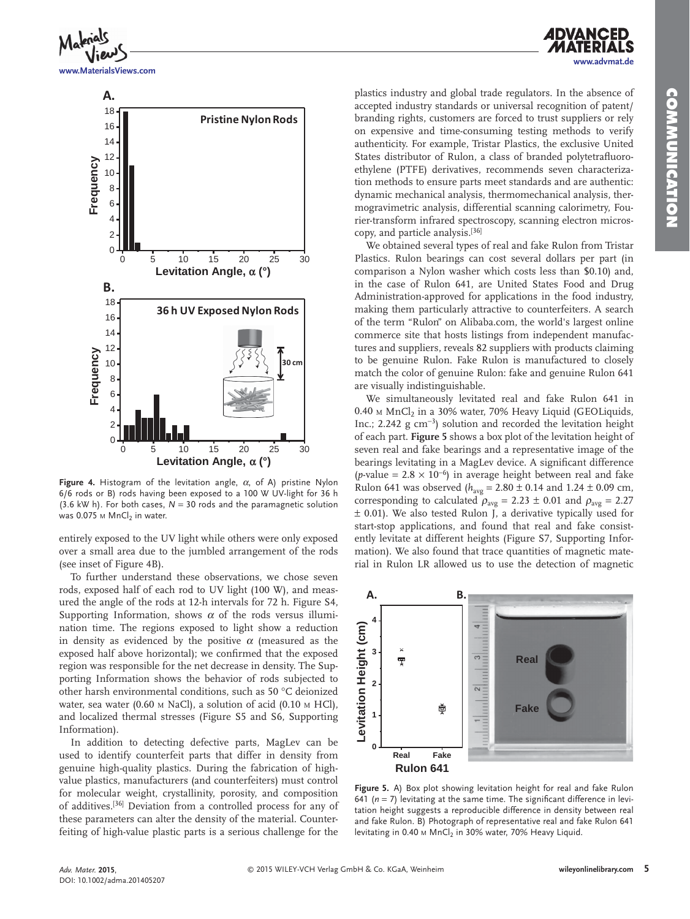



Figure 4. Histogram of the levitation angle, α, of A) pristine Nylon 6/6 rods or B) rods having been exposed to a 100 W UV-light for 36 h (3.6 kW h). For both cases, *N* = 30 rods and the paramagnetic solution was 0.075  $M$  MnCl<sub>2</sub> in water.

entirely exposed to the UV light while others were only exposed over a small area due to the jumbled arrangement of the rods (see inset of Figure 4B).

 To further understand these observations, we chose seven rods, exposed half of each rod to UV light (100 W), and measured the angle of the rods at 12-h intervals for 72 h. Figure S4, Supporting Information, shows  $\alpha$  of the rods versus illumination time. The regions exposed to light show a reduction in density as evidenced by the positive  $\alpha$  (measured as the exposed half above horizontal); we confirmed that the exposed region was responsible for the net decrease in density. The Supporting Information shows the behavior of rods subjected to other harsh environmental conditions, such as 50 °C deionized water, sea water (0.60 м NaCl), a solution of acid (0.10 м HCl), and localized thermal stresses (Figure S5 and S6, Supporting Information).

 In addition to detecting defective parts, MagLev can be used to identify counterfeit parts that differ in density from genuine high-quality plastics. During the fabrication of highvalue plastics, manufacturers (and counterfeiters) must control for molecular weight, crystallinity, porosity, and composition of additives.<sup>[36]</sup> Deviation from a controlled process for any of these parameters can alter the density of the material. Counterfeiting of high-value plastic parts is a serious challenge for the

plastics industry and global trade regulators. In the absence of accepted industry standards or universal recognition of patent/ branding rights, customers are forced to trust suppliers or rely on expensive and time-consuming testing methods to verify authenticity. For example, Tristar Plastics, the exclusive United States distributor of Rulon, a class of branded polytetrafluoroethylene (PTFE) derivatives, recommends seven characterization methods to ensure parts meet standards and are authentic: dynamic mechanical analysis, thermomechanical analysis, thermogravimetric analysis, differential scanning calorimetry, Fourier-transform infrared spectroscopy, scanning electron microscopy, and particle analysis.<sup>[36]</sup>

 We obtained several types of real and fake Rulon from Tristar Plastics. Rulon bearings can cost several dollars per part (in comparison a Nylon washer which costs less than \$0.10) and, in the case of Rulon 641, are United States Food and Drug Administration-approved for applications in the food industry, making them particularly attractive to counterfeiters. A search of the term "Rulon" on Alibaba.com, the world's largest online commerce site that hosts listings from independent manufactures and suppliers, reveals 82 suppliers with products claiming to be genuine Rulon. Fake Rulon is manufactured to closely match the color of genuine Rulon: fake and genuine Rulon 641 are visually indistinguishable.

 We simultaneously levitated real and fake Rulon 641 in  $0.40$  M MnCl<sub>2</sub> in a 30% water, 70% Heavy Liquid (GEOLiquids, Inc.; 2.242 g cm<sup>-3</sup>) solution and recorded the levitation height of each part. **Figure 5** shows a box plot of the levitation height of seven real and fake bearings and a representative image of the bearings levitating in a MagLev device. A significant difference (*p*-value =  $2.8 \times 10^{-6}$ ) in average height between real and fake Rulon 641 was observed ( $h_{\text{avg}} = 2.80 \pm 0.14$  and  $1.24 \pm 0.09$  cm, corresponding to calculated  $\rho_{avg} = 2.23 \pm 0.01$  and  $\rho_{avg} = 2.27$  $±$  0.01). We also tested Rulon J, a derivative typically used for start-stop applications, and found that real and fake consistently levitate at different heights (Figure S7, Supporting Information). We also found that trace quantities of magnetic material in Rulon LR allowed us to use the detection of magnetic



**Figure 5.** A) Box plot showing levitation height for real and fake Rulon 641 ( $n = 7$ ) levitating at the same time. The significant difference in levitation height suggests a reproducible difference in density between real and fake Rulon. B) Photograph of representative real and fake Rulon 641 levitating in 0.40  $\text{M}$  MnCl<sub>2</sub> in 30% water, 70% Heavy Liquid.